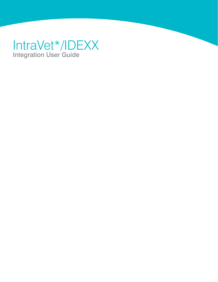# IntraVet\*/IDEXX Integration User Guide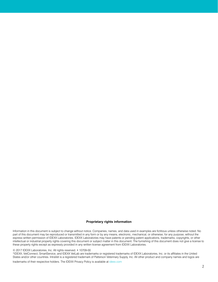#### **Proprietary rights information**

Information in this document is subject to change without notice. Companies, names, and data used in examples are fictitious unless otherwise noted. No part of this document may be reproduced or transmitted in any form or by any means, electronic, mechanical, or otherwise, for any purpose, without the express written permission of IDEXX Laboratories. IDEXX Laboratories may have patents or pending patent applications, trademarks, copyrights, or other intellectual or industrial property rights covering this document or subject matter in this document. The furnishing of this document does not give a license to these property rights except as expressly provided in any written license agreement from IDEXX Laboratories.

#### © 2017 IDEXX Laboratories, Inc. All rights reserved. • 10709-00

\*IDEXX, VetConnect, SmartService, and IDEXX VetLab are trademarks or registered trademarks of IDEXX Laboratories, Inc. or its affiliates in the United States and/or other countries. IntraVet is a registered trademark of Patterson Veterinary Supply, Inc. All other product and company names and logos are

trademarks of their respective holders. The IDEXX Privacy Policy is available at [idexx.com](http://idexx.com)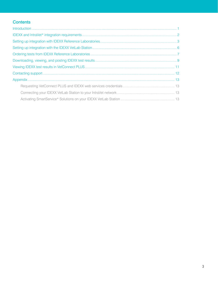# **Contents**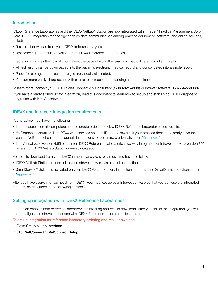## <span id="page-3-0"></span>**Introduction**

IDEXX Reference Laboratories and the IDEXX VetLab\* Station are now integrated with IntraVet\* Practice Management Software. [IDEXX integration technology](http://www.idexx.com/view/xhtml/en_us/smallanimal/practice-management/practice-management-systems/integration.jsf) enables data communication among practice equipment, software, and online services, including:

- Test result download from your IDEXX in-house analyzers
- Test ordering and results download from IDEXX Reference Laboratories

Integration improves the flow of information, the pace of work, the quality of medical care, and client loyalty.

- All test results can be downloaded into the patient's electronic medical record and consolidated into a single report.
- Paper file storage and missed charges are virtually eliminated.
- You can more easily share results with clients to increase understanding and compliance.

To learn more, contact your IDEXX Sales Connectivity Consultant (1-888-321-4339) or IntraVet software (1-877-422-8838).

If you have already signed up for integration, read this document to learn how to set up and start using IDEXX diagnostic integration with IntraVet software.

## <span id="page-3-1"></span>IDEXX and IntraVet\* integration requirements

Your practice must have the following:

- Internet access on all computers used to create orders and view lDEXX Reference Laboratories test results.
- VetConnect account and an IDEXX web services account ID and password. If your practice does not already have these, contact VetConnect customer support. Instructions for obtaining credentials are in ["Appendix.](#page-11-0)"
- IntraVet software version 4.55 or later for IDEXX Reference Laboratories two-way integration or IntraVet software version 350 or later for IDEXX VetLab Station one-way integration.

For results download from your IDEXX in-house analyzers, you must also have the following:

- IDEXX VetLab Station connected to your IntraVet network via a serial connection.
- SmartService\* Solutions activated on your IDEXX VetLab Station. Instructions for activating SmartService Solutions are in ["Appendix](#page-11-0)."

After you have everything you need from IDEXX, you must set up your IntraVet software so that you can use the integrated features, as described in the following sections.

## <span id="page-3-2"></span>Setting up integration with IDEXX Reference Laboratories

Integration enables both reference laboratory test ordering and results download. After you set up the integration, you will need to align your IntraVet test codes with IDEXX Reference Laboratories test codes.

To set up integration for reference laboratory ordering and result download:

- 1. Go to Setup > Lab Interface.
- 2. Click VetConnect > VetConnect Setup.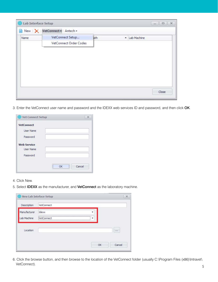| Lab Interface Setup |                                   |     | $\begin{array}{c c c c c c} \hline \multicolumn{3}{c }{\mathbf{m}} & \multicolumn{3}{c }{\mathbf{m}} & \multicolumn{3}{c }{\mathbf{m}} & \multicolumn{3}{c }{\mathbf{m}} & \multicolumn{3}{c }{\mathbf{m}} & \multicolumn{3}{c }{\mathbf{m}} & \multicolumn{3}{c }{\mathbf{m}} & \multicolumn{3}{c }{\mathbf{m}} & \multicolumn{3}{c }{\mathbf{m}} & \multicolumn{3}{c }{\mathbf{m}} & \multicolumn{3}{c }{\mathbf{m}} & \multicolumn{3}{c }{\mathbf$ |  |
|---------------------|-----------------------------------|-----|-------------------------------------------------------------------------------------------------------------------------------------------------------------------------------------------------------------------------------------------------------------------------------------------------------------------------------------------------------------------------------------------------------------------------------------------------------|--|
|                     | New   X   VetConnect +   Antech + |     |                                                                                                                                                                                                                                                                                                                                                                                                                                                       |  |
| Name                | VetConnect Setup                  | ath | - Lab Machine                                                                                                                                                                                                                                                                                                                                                                                                                                         |  |
|                     | VetConnect Order Codes            |     |                                                                                                                                                                                                                                                                                                                                                                                                                                                       |  |
|                     |                                   |     |                                                                                                                                                                                                                                                                                                                                                                                                                                                       |  |
|                     |                                   |     |                                                                                                                                                                                                                                                                                                                                                                                                                                                       |  |
|                     |                                   |     |                                                                                                                                                                                                                                                                                                                                                                                                                                                       |  |
|                     |                                   |     |                                                                                                                                                                                                                                                                                                                                                                                                                                                       |  |
|                     |                                   |     |                                                                                                                                                                                                                                                                                                                                                                                                                                                       |  |
|                     |                                   |     |                                                                                                                                                                                                                                                                                                                                                                                                                                                       |  |
|                     |                                   |     |                                                                                                                                                                                                                                                                                                                                                                                                                                                       |  |
|                     |                                   |     | Close                                                                                                                                                                                                                                                                                                                                                                                                                                                 |  |

3. Enter the VetConnect user name and password and the IDEXX web services ID and password, and then click OK.

| <b>VetConnect</b>  |  |  |
|--------------------|--|--|
| <b>User Name</b>   |  |  |
| Password           |  |  |
| <b>Web Service</b> |  |  |
| User Name          |  |  |
| Password           |  |  |
|                    |  |  |

- 4. Click New.
- 5. Select IDEXX as the manufacturer, and VetConnect as the laboratory machine.

| Description  | VetConnect        |       |
|--------------|-------------------|-------|
| Manufacturer | Idexx             |       |
| Lab Machine  | <b>NetConnect</b> |       |
|              |                   |       |
|              |                   | 1.1.1 |
| Location     |                   |       |
|              |                   |       |
|              |                   |       |

6. Click the browse button, and then browse to the location of the VetConnect folder (usually<C:\Program>Files (x86)\Intravet\ VetConnect).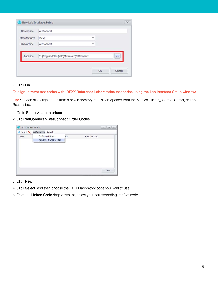| Description  | VetConnect                                  |                          |
|--------------|---------------------------------------------|--------------------------|
| Manufacturer | Idexx                                       |                          |
| Lab Machine  | VetConnect                                  |                          |
|              |                                             |                          |
|              |                                             | $\overline{\phantom{a}}$ |
| Location     | C: \Program Files (x86)\Intravet\VetConnect |                          |

#### 7. Click OK.

#### To align IntraVet test codes with IDEXX Reference Laboratories test codes using the Lab Interface Setup window:

Tip: You can also align codes from a new laboratory requisition opened from the Medical History, Control Center, or Lab Results tab.

- 1. Go to Setup > Lab Interface.
- 2. Click VetConnect > VetConnect Order Codes.

|      | New   X   VetConnect =   Antech + |     |               |  |
|------|-----------------------------------|-----|---------------|--|
| Name | VetConnect Setup                  | ath | - Lab Machine |  |
|      | VetConnect Order Codes            |     |               |  |
|      |                                   |     |               |  |
|      |                                   |     |               |  |
|      |                                   |     |               |  |
|      |                                   |     |               |  |
|      |                                   |     |               |  |
|      |                                   |     |               |  |
|      |                                   |     |               |  |

- 3. Click New.
- 4. Click Select, and then choose the IDEXX laboratory code you want to use.
- 5. From the Linked Code drop-down list, select your corresponding IntraVet code.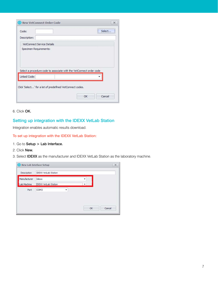| <b>New VetConnect Order Code</b>  |                                                                     | $\mathbf x$ |
|-----------------------------------|---------------------------------------------------------------------|-------------|
| Code:<br>Description:             |                                                                     | Select      |
| <b>VetConnect Service Details</b> |                                                                     |             |
| Specimen Requirements:            |                                                                     |             |
|                                   |                                                                     |             |
| <b>Linked Code:</b>               | Select a procedure code to associate with the VetConnect order code |             |

6. Click OK.

# <span id="page-6-0"></span>Setting up integration with the IDEXX VetLab Station

Integration enables automatic results download.

To set up integration with the IDEXX VetLab Station:

- 1. Go to Setup > Lab Interface.
- 2. Click New.
- 3. Select IDEXX as the manufacturer and IDEXX VetLab Station as the laboratory machine.

|              | <sup>(1)</sup> New Lab Inteface Setup |   |    |        |
|--------------|---------------------------------------|---|----|--------|
| Description  | <b>IDEXX VetLab Station</b>           |   |    |        |
| Manufacturer | Idexx                                 |   |    |        |
| Lab Machine  | <b>IDEXX VetLab Station</b>           |   | ۰  |        |
| Port         | COM3                                  | ٠ |    |        |
|              |                                       |   |    |        |
|              |                                       |   |    |        |
|              |                                       |   | OK | Cancel |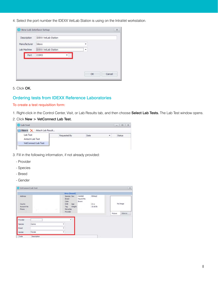4. Select the port number the IDEXX VetLab Station is using on the IntraVet workstation.

| Description  | <b>IDEXX VetLab Station</b> |  |
|--------------|-----------------------------|--|
| Manufacturer | Idexx                       |  |
| Lab Machine  | <b>IDEXX VetLab Station</b> |  |
| Port         | COM3                        |  |
|              |                             |  |
|              |                             |  |
|              |                             |  |

5. Click OK.

## <span id="page-7-0"></span>Ordering tests from IDEXX Reference Laboratories

#### To create a test requisition form:

1. Right-click in the Control Center, Visit, or Lab Results tab, and then choose Select Lab Tests. The Lab Test window opens.

#### 2. Click New > VetConnect Lab Test.



- 3. Fill in the following information, if not already provided:
	- Provider
	- Species
	- Breed
	- Gender

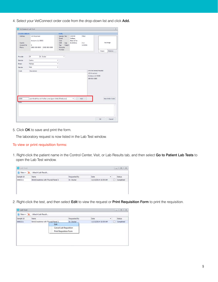4. Select your VetConnect order code from the drop-down list and click Add.

| Address<br>123 Anystreet<br>Species Sex<br>CANINE<br>MALE<br>Maltese<br>Breed<br>Black & Tan<br>Color<br>Anytown, IL 55555<br>County<br><b>DOB</b><br>Age<br>8/15/2011<br>3 yr<br>Account No<br>10.00 lb<br>$\overline{2}$<br>Tag<br>Weight<br>Microchip<br>Phone<br>(555) 555-5555 (555) 555-5555<br>Provider<br>Provider<br><b>DR</b><br>Dr. Doctor<br>۰<br>Canine<br>Species<br>۰<br>Maltese<br>٠<br>Breed<br>Male<br>Gender<br>$\overline{\phantom{a}}$<br><b>IntraVet Animal Hospital</b><br>Code<br>Description<br>123 Anystreet<br>Anytown, IL 55555<br>555-555-5555 | No Image<br>Balance<br>Picture |
|-----------------------------------------------------------------------------------------------------------------------------------------------------------------------------------------------------------------------------------------------------------------------------------------------------------------------------------------------------------------------------------------------------------------------------------------------------------------------------------------------------------------------------------------------------------------------------|--------------------------------|
|                                                                                                                                                                                                                                                                                                                                                                                                                                                                                                                                                                             |                                |
|                                                                                                                                                                                                                                                                                                                                                                                                                                                                                                                                                                             |                                |
|                                                                                                                                                                                                                                                                                                                                                                                                                                                                                                                                                                             |                                |
|                                                                                                                                                                                                                                                                                                                                                                                                                                                                                                                                                                             |                                |
|                                                                                                                                                                                                                                                                                                                                                                                                                                                                                                                                                                             |                                |
|                                                                                                                                                                                                                                                                                                                                                                                                                                                                                                                                                                             |                                |
|                                                                                                                                                                                                                                                                                                                                                                                                                                                                                                                                                                             |                                |
| Lab 4Dx® Plus with Reflex Lyme Quant C6® (If Indicated)<br>Add<br>2889<br>۰                                                                                                                                                                                                                                                                                                                                                                                                                                                                                                 | New Order Code                 |
| <b>Notes</b>                                                                                                                                                                                                                                                                                                                                                                                                                                                                                                                                                                |                                |
|                                                                                                                                                                                                                                                                                                                                                                                                                                                                                                                                                                             |                                |

5. Click OK to save and print the form.

The laboratory request is now listed in the Lab Test window.

#### To view or print requisition forms:

1. Right-click the patient name in the Control Center, Visit, or Lab Results tab, and then select Go to Patient Lab Tests to open the Lab Test window.

| <b>O</b> Lab Test |                                     |              |                     |   |   | $x = 0$   |
|-------------------|-------------------------------------|--------------|---------------------|---|---|-----------|
|                   | New - X Attach Lab Result           |              |                     |   |   |           |
| Sample Id         | Name                                | Requested By | Date                | ۰ |   | Status    |
| 6983211           | BUN/Creatinine with Thuroid Panel 2 | Dr. Doctor   | 11/13/2014 10:59 AM |   | Æ | Completed |

2. Right-click the test, and then select Edit to view the request or Print Requisition Form to print the requisition.

|           | New > X Attach Lab Result           |                                                                |              |                     |           |
|-----------|-------------------------------------|----------------------------------------------------------------|--------------|---------------------|-----------|
| Sample Id | <b>Name</b>                         |                                                                | Requested By | Date<br>۰           | Status    |
| 6983211   | BUN/Creatinine with Thyroid Panel 2 |                                                                | Dr. Doctor   | 11/13/2014 10:59 AM | Completed |
|           |                                     | Edit                                                           |              |                     |           |
|           |                                     | <b>Cancel Lab Requisition</b><br><b>Print Requisition Form</b> |              |                     |           |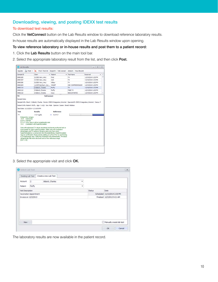# <span id="page-9-0"></span>Downloading, viewing, and posting IDEXX test results

#### To download test results:

Click the VetConnect button on the Lab Results window to download reference laboratory results.

In-house results are automatically displayed in the Lab Results window upon opening.

#### To view reference laboratory or in-house results and post them to a patient record:

- 1. Click the Lab Results button on the main tool bar.
- 2. Select the appropriate laboratory result from the list, and then click Post.



3. Select the appropriate visit and click OK.

| Existing Lab Test       |               | Create a new Lab Test |        |      |                              |  |
|-------------------------|---------------|-----------------------|--------|------|------------------------------|--|
| Account                 | $\frac{1}{2}$ | Abbott, Charles       | ٠      |      |                              |  |
| Patient                 | Pluffy        |                       | ٠      |      |                              |  |
| Visit Description       |               |                       | Status | Date |                              |  |
| Vaccination Appointment |               |                       |        |      | Scheduled 11/13/2014 2:30 PM |  |
|                         |               |                       |        |      |                              |  |
| Invoice on 12/3/2013    |               |                       |        |      | Finalized 12/3/2013 9:21 AM  |  |
|                         |               |                       |        |      | Manually create lab test     |  |

The laboratory results are now available in the patient record.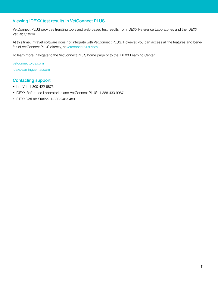# <span id="page-10-0"></span>Viewing IDEXX test results in VetConnect PLUS

VetConnect PLUS provides trending tools and web-based test results from IDEXX Reference Laboratories and the IDEXX VetLab Station.

At this time, IntraVet software does not integrate with VetConnect PLUS. However, you can access all the features and benefits of VetConnect PLUS directly, at [vetconnectplus.com](http://vetconnectplus.com)

To learn more, navigate to the VetConnect PLUS home page or to the IDEXX Learning Center:

[vetconnectplus.com](http://WWW.VetConnectPLUS.com) [idexxlearningcenter.com](http://WWW.IDEXXLearningCenter.com)

## <span id="page-10-1"></span>Contacting support

- IntraVet: 1-800-422-8875
- IDEXX Reference Laboratories and VetConnect PLUS: 1-888-433-9987
- IDEXX VetLab Station: 1-800-248-2483